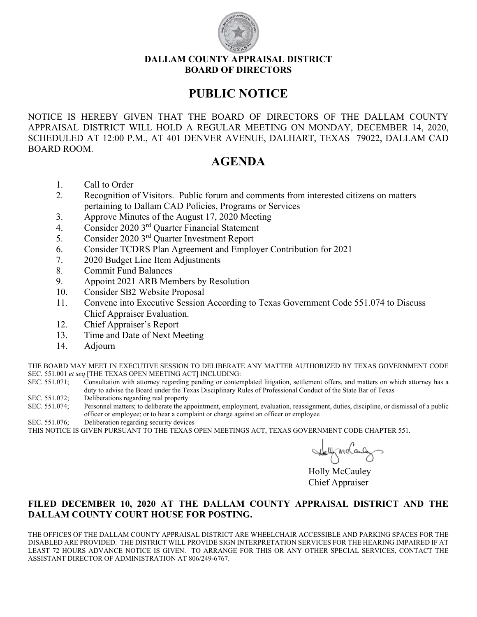

#### **DALLAM COUNTY APPRAISAL DISTRICT BOARD OF DIRECTORS**

## **PUBLIC NOTICE**

NOTICE IS HEREBY GIVEN THAT THE BOARD OF DIRECTORS OF THE DALLAM COUNTY APPRAISAL DISTRICT WILL HOLD A REGULAR MEETING ON MONDAY, DECEMBER 14, 2020, SCHEDULED AT 12:00 P.M., AT 401 DENVER AVENUE, DALHART, TEXAS 79022, DALLAM CAD BOARD ROOM.

## **AGENDA**

- 1. Call to Order
- 2. Recognition of Visitors. Public forum and comments from interested citizens on matters pertaining to Dallam CAD Policies, Programs or Services
- 3. Approve Minutes of the August 17, 2020 Meeting
- 4. Consider 2020 3rd Quarter Financial Statement
- 5. Consider 2020 3rd Quarter Investment Report
- 6. Consider TCDRS Plan Agreement and Employer Contribution for 2021
- 7. 2020 Budget Line Item Adjustments
- 8. Commit Fund Balances
- 9. Appoint 2021 ARB Members by Resolution
- 10. Consider SB2 Website Proposal
- 11. Convene into Executive Session According to Texas Government Code 551.074 to Discuss Chief Appraiser Evaluation.
- 12. Chief Appraiser's Report
- 13. Time and Date of Next Meeting
- 14. Adjourn

THE BOARD MAY MEET IN EXECUTIVE SESSION TO DELIBERATE ANY MATTER AUTHORIZED BY TEXAS GOVERNMENT CODE SEC. 551.001 *et seq* [THE TEXAS OPEN MEETING ACT] INCLUDING:

- SEC. 551.071; Consultation with attorney regarding pending or contemplated litigation, settlement offers, and matters on which attorney has a duty to advise the Board under the Texas Disciplinary Rules of Professional Conduct of the State Bar of Texas
- SEC. 551.072; Deliberations regarding real property
- SEC. 551.074; Personnel matters; to deliberate the appointment, employment, evaluation, reassignment, duties, discipline, or dismissal of a public officer or employee; or to hear a complaint or charge against an officer or employee
- SEC. 551.076; Deliberation regarding security devices

THIS NOTICE IS GIVEN PURSUANT TO THE TEXAS OPEN MEETINGS ACT, TEXAS GOVERNMENT CODE CHAPTER 551.

 Holly McCauley Chief Appraiser

#### **FILED DECEMBER 10, 2020 AT THE DALLAM COUNTY APPRAISAL DISTRICT AND THE DALLAM COUNTY COURT HOUSE FOR POSTING.**

THE OFFICES OF THE DALLAM COUNTY APPRAISAL DISTRICT ARE WHEELCHAIR ACCESSIBLE AND PARKING SPACES FOR THE DISABLED ARE PROVIDED. THE DISTRICT WILL PROVIDE SIGN INTERPRETATION SERVICES FOR THE HEARING IMPAIRED IF AT LEAST 72 HOURS ADVANCE NOTICE IS GIVEN. TO ARRANGE FOR THIS OR ANY OTHER SPECIAL SERVICES, CONTACT THE ASSISTANT DIRECTOR OF ADMINISTRATION AT 806/249-6767.